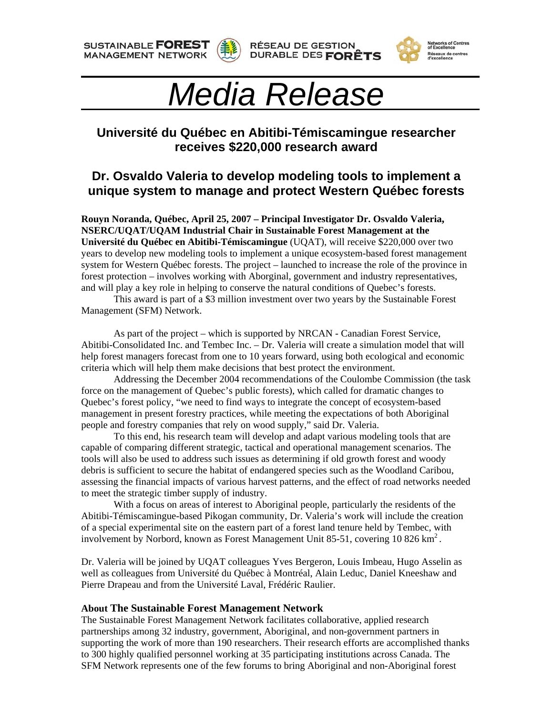**SUSTAINABLE FOREST MANAGEMENT NETWORK** 





## Réseaux de centres<br>d'excellence

# *Media Release*

### **Université du Québec en Abitibi-Témiscamingue researcher receives \$220,000 research award**

#### **Dr. Osvaldo Valeria to develop modeling tools to implement a unique system to manage and protect Western Québec forests**

**Rouyn Noranda, Québec, April 25, 2007 – Principal Investigator Dr. Osvaldo Valeria, NSERC/UQAT/UQAM Industrial Chair in Sustainable Forest Management at the Université du Québec en Abitibi-Témiscamingue** (UQAT), will receive \$220,000 over two years to develop new modeling tools to implement a unique ecosystem-based forest management system for Western Québec forests. The project – launched to increase the role of the province in forest protection – involves working with Aborginal, government and industry representatives, and will play a key role in helping to conserve the natural conditions of Quebec's forests.

This award is part of a \$3 million investment over two years by the Sustainable Forest Management (SFM) Network.

 As part of the project – which is supported by NRCAN - Canadian Forest Service, Abitibi-Consolidated Inc. and Tembec Inc. – Dr. Valeria will create a simulation model that will help forest managers forecast from one to 10 years forward, using both ecological and economic criteria which will help them make decisions that best protect the environment.

Addressing the December 2004 recommendations of the Coulombe Commission (the task force on the management of Quebec's public forests), which called for dramatic changes to Quebec's forest policy, "we need to find ways to integrate the concept of ecosystem-based management in present forestry practices, while meeting the expectations of both Aboriginal people and forestry companies that rely on wood supply," said Dr. Valeria.

 To this end, his research team will develop and adapt various modeling tools that are capable of comparing different strategic, tactical and operational management scenarios. The tools will also be used to address such issues as determining if old growth forest and woody debris is sufficient to secure the habitat of endangered species such as the Woodland Caribou, assessing the financial impacts of various harvest patterns, and the effect of road networks needed to meet the strategic timber supply of industry.

 With a focus on areas of interest to Aboriginal people, particularly the residents of the Abitibi-Témiscamingue-based Pikogan community, Dr. Valeria's work will include the creation of a special experimental site on the eastern part of a forest land tenure held by Tembec, with involvement by Norbord, known as Forest Management Unit 85-51, covering  $10\,826\,\mathrm{km}^2$ .

Dr. Valeria will be joined by UQAT colleagues Yves Bergeron, Louis Imbeau, Hugo Asselin as well as colleagues from Université du Québec à Montréal, Alain Leduc, Daniel Kneeshaw and Pierre Drapeau and from the Université Laval, Frédéric Raulier.

#### **About The Sustainable Forest Management Network**

The Sustainable Forest Management Network facilitates collaborative, applied research partnerships among 32 industry, government, Aboriginal, and non-government partners in supporting the work of more than 190 researchers. Their research efforts are accomplished thanks to 300 highly qualified personnel working at 35 participating institutions across Canada. The SFM Network represents one of the few forums to bring Aboriginal and non-Aboriginal forest